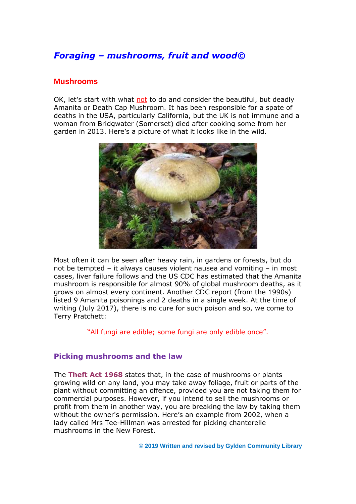# *Foraging – mushrooms, fruit and wood©*

#### **Mushrooms**

OK, let's start with what not to do and consider the beautiful, but deadly Amanita or Death Cap Mushroom. It has been responsible for a spate of deaths in the USA, particularly California, but the UK is not immune and a woman from Bridgwater (Somerset) died after cooking some from her garden in 2013. Here's a picture of what it looks like in the wild.



Most often it can be seen after heavy rain, in gardens or forests, but do not be tempted – it always causes violent nausea and vomiting – in most cases, liver failure follows and the US CDC has estimated that the Amanita mushroom is responsible for almost 90% of global mushroom deaths, as it grows on almost every continent. Another CDC report (from the 1990s) listed 9 Amanita poisonings and 2 deaths in a single week. At the time of writing (July 2017), there is no cure for such poison and so, we come to Terry Pratchett:

"All fungi are edible; some fungi are only edible once".

#### **Picking mushrooms and the law**

The **Theft Act 1968** states that, in the case of mushrooms or plants growing wild on any land, you may take away foliage, fruit or parts of the plant without committing an offence, provided you are not taking them for commercial purposes. However, if you intend to sell the mushrooms or profit from them in another way, you are breaking the law by taking them without the owner's permission. Here's an example from 2002, when a lady called Mrs Tee-Hillman was arrested for picking chanterelle mushrooms in the New Forest.

**© 2019 Written and revised by Gylden Community Library**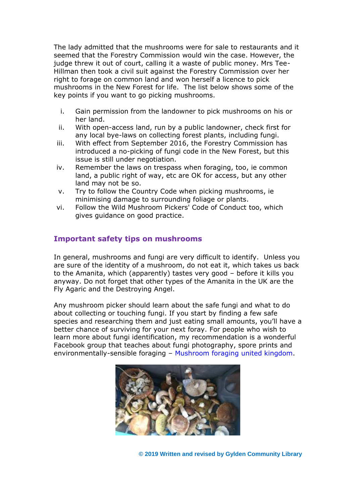The lady admitted that the mushrooms were for sale to restaurants and it seemed that the Forestry Commission would win the case. However, the judge threw it out of court, calling it a waste of public money. Mrs Tee-Hillman then took a civil suit against the Forestry Commission over her right to forage on common land and won herself a licence to pick mushrooms in the New Forest for life. The list below shows some of the key points if you want to go picking mushrooms.

- i. Gain permission from the landowner to pick mushrooms on his or her land.
- ii. With open-access land, run by a public landowner, check first for any local bye-laws on collecting forest plants, including fungi.
- iii. With effect from September 2016, the Forestry Commission has introduced a no-picking of fungi code in the New Forest, but this issue is still under negotiation.
- iv. Remember the laws on trespass when foraging, too, ie common land, a public right of way, etc are OK for access, but any other land may not be so.
- v. Try to follow the Country Code when picking mushrooms, ie minimising damage to surrounding foliage or plants.
- vi. Follow the Wild Mushroom Pickers' Code of Conduct too, which gives guidance on good practice.

## **Important safety tips on mushrooms**

In general, mushrooms and fungi are very difficult to identify. Unless you are sure of the identity of a mushroom, do not eat it, which takes us back to the Amanita, which (apparently) tastes very good – before it kills you anyway. Do not forget that other types of the Amanita in the UK are the Fly Agaric and the Destroying Angel.

Any mushroom picker should learn about the safe fungi and what to do about collecting or touching fungi. If you start by finding a few safe species and researching them and just eating small amounts, you'll have a better chance of surviving for your next foray. For people who wish to learn more about fungi identification, my recommendation is a wonderful Facebook group that teaches about fungi photography, spore prints and environmentally-sensible foraging – Mushroom foraging united kingdom.



**© 2019 Written and revised by Gylden Community Library**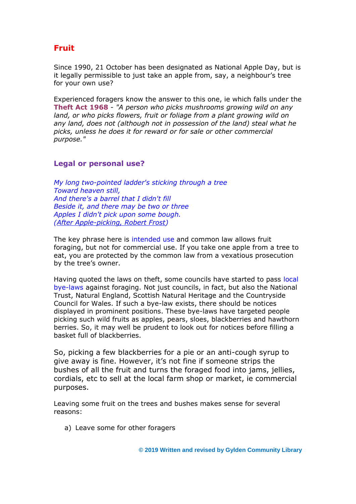# **Fruit**

Since 1990, 21 October has been designated as National Apple Day, but is it legally permissible to just take an apple from, say, a neighbour's tree for your own use?

Experienced foragers know the answer to this one, ie which falls under the **Theft Act 1968** - *"A person who picks mushrooms growing wild on any land, or who picks flowers, fruit or foliage from a plant growing wild on any land, does not (although not in possession of the land) steal what he picks, unless he does it for reward or for sale or other commercial purpose."*

### **Legal or personal use?**

*My long two-pointed ladder's sticking through a tree Toward heaven still, And there's a barrel that I didn't fill Beside it, and there may be two or three Apples I didn't pick upon some bough. (After Apple-picking, Robert Frost)*

The key phrase here is intended use and common law allows fruit foraging, but not for commercial use. If you take one apple from a tree to eat, you are protected by the common law from a vexatious prosecution by the tree's owner.

Having quoted the laws on theft, some councils have started to pass local bye-laws against foraging. Not just councils, in fact, but also the National Trust, Natural England, Scottish Natural Heritage and the Countryside Council for Wales. If such a bye-law exists, there should be notices displayed in prominent positions. These bye-laws have targeted people picking such wild fruits as apples, pears, sloes, blackberries and hawthorn berries. So, it may well be prudent to look out for notices before filling a basket full of blackberries.

So, picking a few blackberries for a pie or an anti-cough syrup to give away is fine. However, it's not fine if someone strips the bushes of all the fruit and turns the foraged food into jams, jellies, cordials, etc to sell at the local farm shop or market, ie commercial purposes.

Leaving some fruit on the trees and bushes makes sense for several reasons:

a) Leave some for other foragers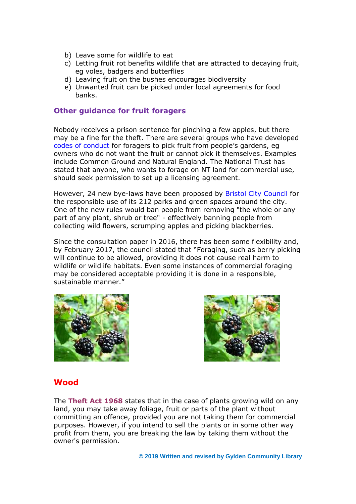- b) Leave some for wildlife to eat
- c) Letting fruit rot benefits wildlife that are attracted to decaying fruit, eg voles, badgers and butterflies
- d) Leaving fruit on the bushes encourages biodiversity
- e) Unwanted fruit can be picked under local agreements for food banks.

### **Other guidance for fruit foragers**

Nobody receives a prison sentence for pinching a few apples, but there may be a fine for the theft. There are several groups who have developed codes of conduct for foragers to pick fruit from people's gardens, eg owners who do not want the fruit or cannot pick it themselves. Examples include Common Ground and Natural England. The National Trust has stated that anyone, who wants to forage on NT land for commercial use, should seek permission to set up a licensing agreement.

However, 24 new bye-laws have been proposed by Bristol City Council for the responsible use of its 212 parks and green spaces around the city. One of the new rules would ban people from removing "the whole or any part of any plant, shrub or tree" - effectively banning people from collecting wild flowers, scrumping apples and picking blackberries.

Since the consultation paper in 2016, there has been some flexibility and, by February 2017, the council stated that "Foraging, such as berry picking will continue to be allowed, providing it does not cause real harm to wildlife or wildlife habitats. Even some instances of commercial foraging may be considered acceptable providing it is done in a responsible, sustainable manner."





### **Wood**

The **Theft Act 1968** states that in the case of plants growing wild on any land, you may take away foliage, fruit or parts of the plant without committing an offence, provided you are not taking them for commercial purposes. However, if you intend to sell the plants or in some other way profit from them, you are breaking the law by taking them without the owner's permission.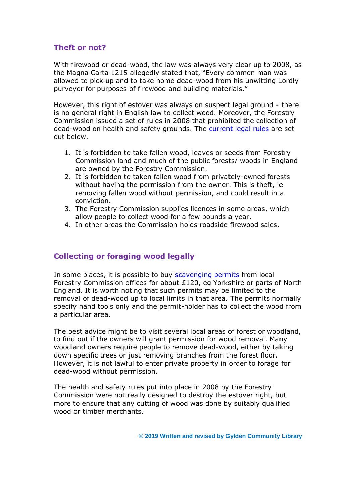## **Theft or not?**

With firewood or dead-wood, the law was always very clear up to 2008, as the Magna Carta 1215 allegedly stated that, "Every common man was allowed to pick up and to take home dead-wood from his unwitting Lordly purveyor for purposes of firewood and building materials."

However, this right of estover was always on suspect legal ground - there is no general right in English law to collect wood. Moreover, the Forestry Commission issued a set of rules in 2008 that prohibited the collection of dead-wood on health and safety grounds. The current legal rules are set out below.

- 1. It is forbidden to take fallen wood, leaves or seeds from Forestry Commission land and much of the public forests/ woods in England are owned by the Forestry Commission.
- 2. It is forbidden to taken fallen wood from privately-owned forests without having the permission from the owner. This is theft, ie removing fallen wood without permission, and could result in a conviction.
- 3. The Forestry Commission supplies licences in some areas, which allow people to collect wood for a few pounds a year.
- 4. In other areas the Commission holds roadside firewood sales.

### **Collecting or foraging wood legally**

In some places, it is possible to buy scavenging permits from local Forestry Commission offices for about £120, eg Yorkshire or parts of North England. It is worth noting that such permits may be limited to the removal of dead-wood up to local limits in that area. The permits normally specify hand tools only and the permit-holder has to collect the wood from a particular area.

The best advice might be to visit several local areas of forest or woodland, to find out if the owners will grant permission for wood removal. Many woodland owners require people to remove dead-wood, either by taking down specific trees or just removing branches from the forest floor. However, it is not lawful to enter private property in order to forage for dead-wood without permission.

The health and safety rules put into place in 2008 by the Forestry Commission were not really designed to destroy the estover right, but more to ensure that any cutting of wood was done by suitably qualified wood or timber merchants.